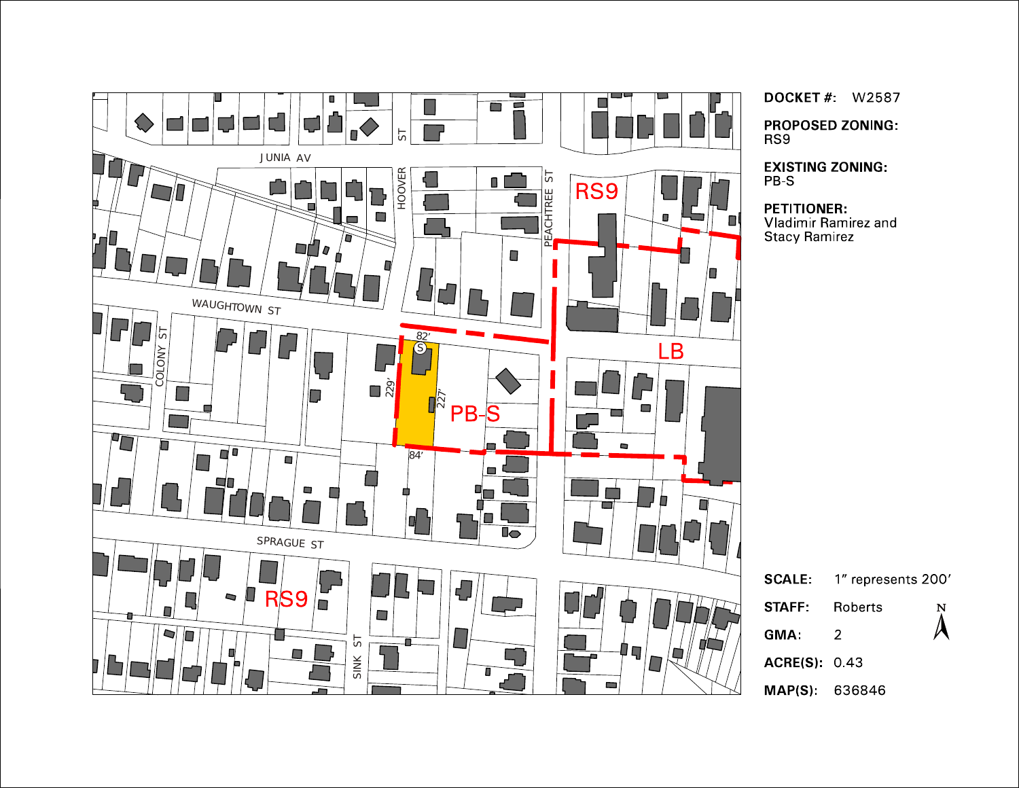

**DOCKET # W2587** 

**PROPOSED ZONING:** RS9

**EXISTING ZONING** PB-S

PETITIONER:<br>Vladimir Ramirez and **Stacy Ramirez** 

| <b>SCALE:</b>       | 1" represents 200' |                         |
|---------------------|--------------------|-------------------------|
| STAFF:              | Roberts            | $\sum\limits_{i=1}^{N}$ |
| GMA:                | 2                  |                         |
| <b>ACRE(S)</b> 0.43 |                    |                         |
| MAP(S): 636846      |                    |                         |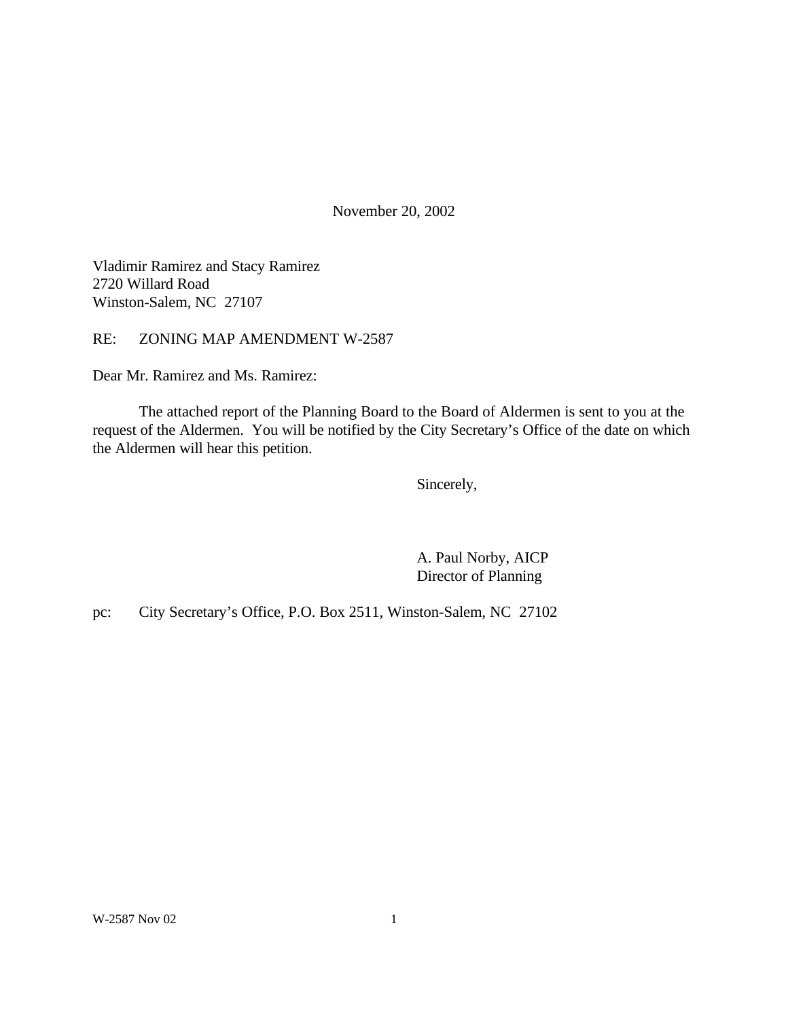November 20, 2002

Vladimir Ramirez and Stacy Ramirez 2720 Willard Road Winston-Salem, NC 27107

RE: ZONING MAP AMENDMENT W-2587

Dear Mr. Ramirez and Ms. Ramirez:

The attached report of the Planning Board to the Board of Aldermen is sent to you at the request of the Aldermen. You will be notified by the City Secretary's Office of the date on which the Aldermen will hear this petition.

Sincerely,

A. Paul Norby, AICP Director of Planning

pc: City Secretary's Office, P.O. Box 2511, Winston-Salem, NC 27102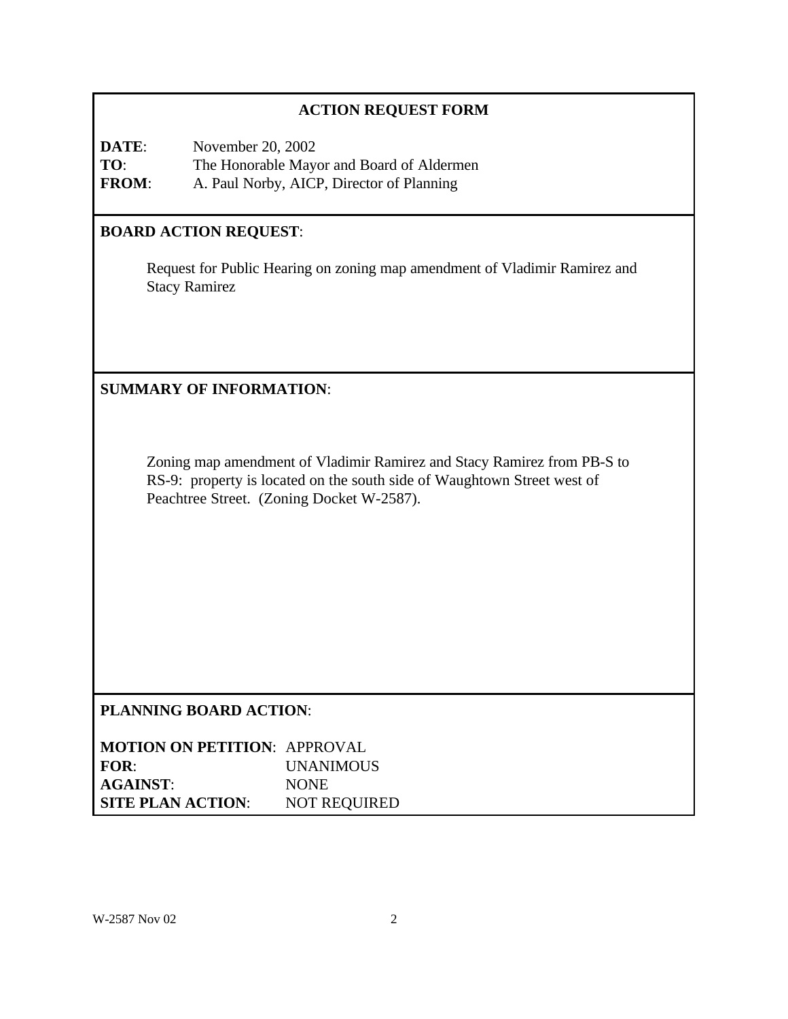# **ACTION REQUEST FORM**

**DATE**: November 20, 2002 **TO**: The Honorable Mayor and Board of Aldermen **FROM**: A. Paul Norby, AICP, Director of Planning

# **BOARD ACTION REQUEST**:

Request for Public Hearing on zoning map amendment of Vladimir Ramirez and Stacy Ramirez

**SUMMARY OF INFORMATION**:

Zoning map amendment of Vladimir Ramirez and Stacy Ramirez from PB-S to RS-9: property is located on the south side of Waughtown Street west of Peachtree Street. (Zoning Docket W-2587).

# **PLANNING BOARD ACTION**:

| <b>MOTION ON PETITION: APPROVAL</b> |                     |
|-------------------------------------|---------------------|
| FOR:                                | <b>UNANIMOUS</b>    |
| <b>AGAINST:</b>                     | <b>NONE</b>         |
| <b>SITE PLAN ACTION:</b>            | <b>NOT REQUIRED</b> |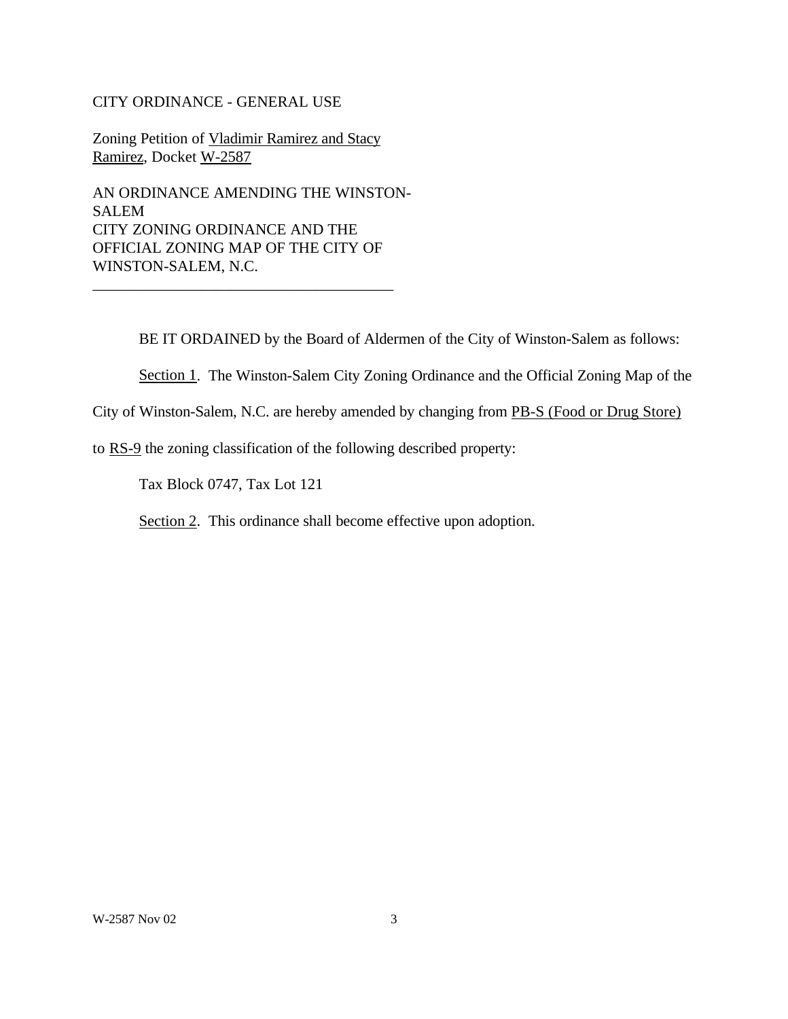#### CITY ORDINANCE - GENERAL USE

Zoning Petition of Vladimir Ramirez and Stacy Ramirez, Docket W-2587

AN ORDINANCE AMENDING THE WINSTON-SALEM CITY ZONING ORDINANCE AND THE OFFICIAL ZONING MAP OF THE CITY OF WINSTON-SALEM, N.C.

\_\_\_\_\_\_\_\_\_\_\_\_\_\_\_\_\_\_\_\_\_\_\_\_\_\_\_\_\_\_\_\_\_\_\_\_\_\_\_

BE IT ORDAINED by the Board of Aldermen of the City of Winston-Salem as follows:

Section 1. The Winston-Salem City Zoning Ordinance and the Official Zoning Map of the

City of Winston-Salem, N.C. are hereby amended by changing from PB-S (Food or Drug Store)

to RS-9 the zoning classification of the following described property:

Tax Block 0747, Tax Lot 121

Section 2. This ordinance shall become effective upon adoption.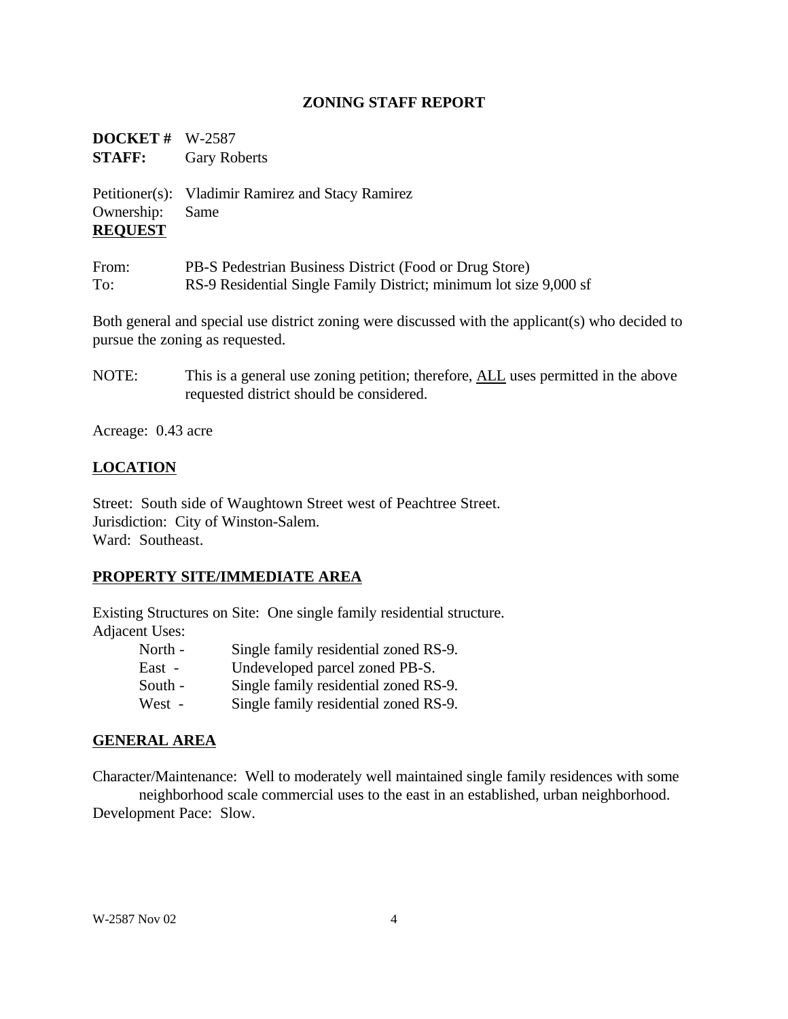## **ZONING STAFF REPORT**

**DOCKET #** W-2587 **STAFF:** Gary Roberts Petitioner(s): Vladimir Ramirez and Stacy Ramirez Ownership: Same **REQUEST** From: PB-S Pedestrian Business District (Food or Drug Store) To: RS-9 Residential Single Family District; minimum lot size 9,000 sf

Both general and special use district zoning were discussed with the applicant(s) who decided to pursue the zoning as requested.

NOTE: This is a general use zoning petition; therefore, ALL uses permitted in the above requested district should be considered.

Acreage: 0.43 acre

# **LOCATION**

Street: South side of Waughtown Street west of Peachtree Street. Jurisdiction: City of Winston-Salem. Ward: Southeast.

## **PROPERTY SITE/IMMEDIATE AREA**

Existing Structures on Site: One single family residential structure. Adjacent Uses:

| North - | Single family residential zoned RS-9. |
|---------|---------------------------------------|
| East -  | Undeveloped parcel zoned PB-S.        |
| South - | Single family residential zoned RS-9. |
| West -  | Single family residential zoned RS-9. |

## **GENERAL AREA**

Character/Maintenance: Well to moderately well maintained single family residences with some neighborhood scale commercial uses to the east in an established, urban neighborhood. Development Pace: Slow.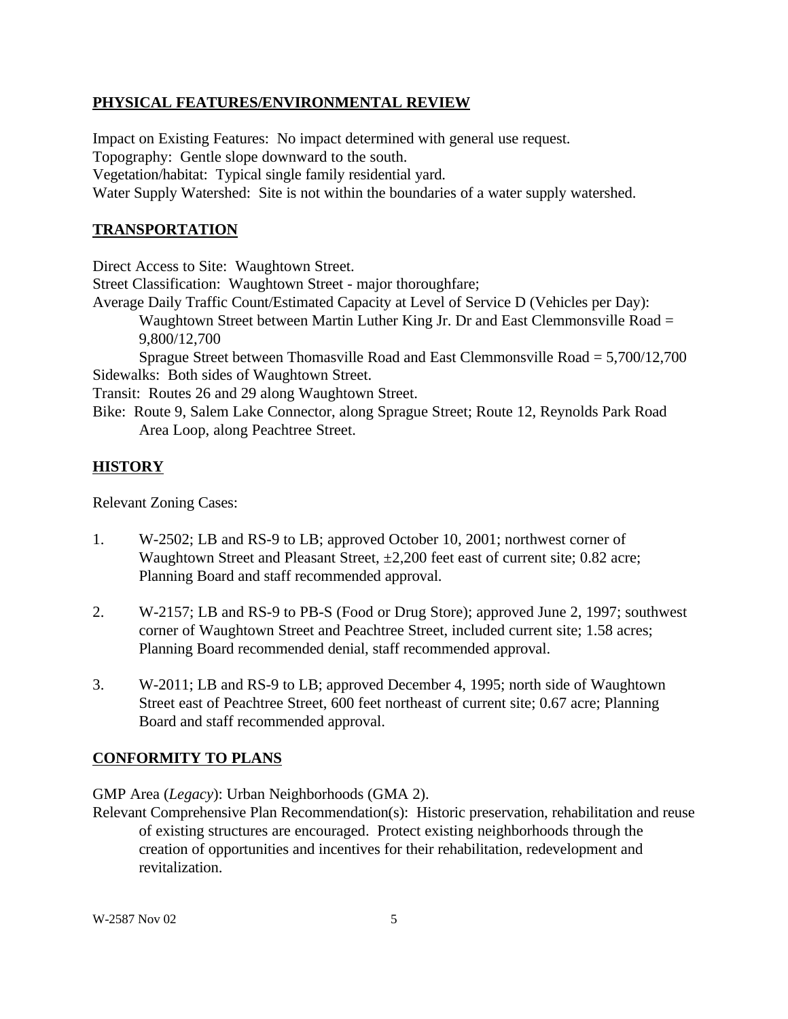### **PHYSICAL FEATURES/ENVIRONMENTAL REVIEW**

Impact on Existing Features: No impact determined with general use request. Topography: Gentle slope downward to the south. Vegetation/habitat: Typical single family residential yard. Water Supply Watershed: Site is not within the boundaries of a water supply watershed.

#### **TRANSPORTATION**

Direct Access to Site: Waughtown Street.

Street Classification: Waughtown Street - major thoroughfare;

Average Daily Traffic Count/Estimated Capacity at Level of Service D (Vehicles per Day): Waughtown Street between Martin Luther King Jr. Dr and East Clemmonsville Road = 9,800/12,700

Sprague Street between Thomasville Road and East Clemmonsville Road = 5,700/12,700 Sidewalks: Both sides of Waughtown Street.

Transit: Routes 26 and 29 along Waughtown Street.

Bike: Route 9, Salem Lake Connector, along Sprague Street; Route 12, Reynolds Park Road Area Loop, along Peachtree Street.

# **HISTORY**

Relevant Zoning Cases:

- 1. W-2502; LB and RS-9 to LB; approved October 10, 2001; northwest corner of Waughtown Street and Pleasant Street,  $\pm 2,200$  feet east of current site; 0.82 acre; Planning Board and staff recommended approval.
- 2. W-2157; LB and RS-9 to PB-S (Food or Drug Store); approved June 2, 1997; southwest corner of Waughtown Street and Peachtree Street, included current site; 1.58 acres; Planning Board recommended denial, staff recommended approval.
- 3. W-2011; LB and RS-9 to LB; approved December 4, 1995; north side of Waughtown Street east of Peachtree Street, 600 feet northeast of current site; 0.67 acre; Planning Board and staff recommended approval.

## **CONFORMITY TO PLANS**

GMP Area (*Legacy*): Urban Neighborhoods (GMA 2).

Relevant Comprehensive Plan Recommendation(s): Historic preservation, rehabilitation and reuse of existing structures are encouraged. Protect existing neighborhoods through the creation of opportunities and incentives for their rehabilitation, redevelopment and revitalization.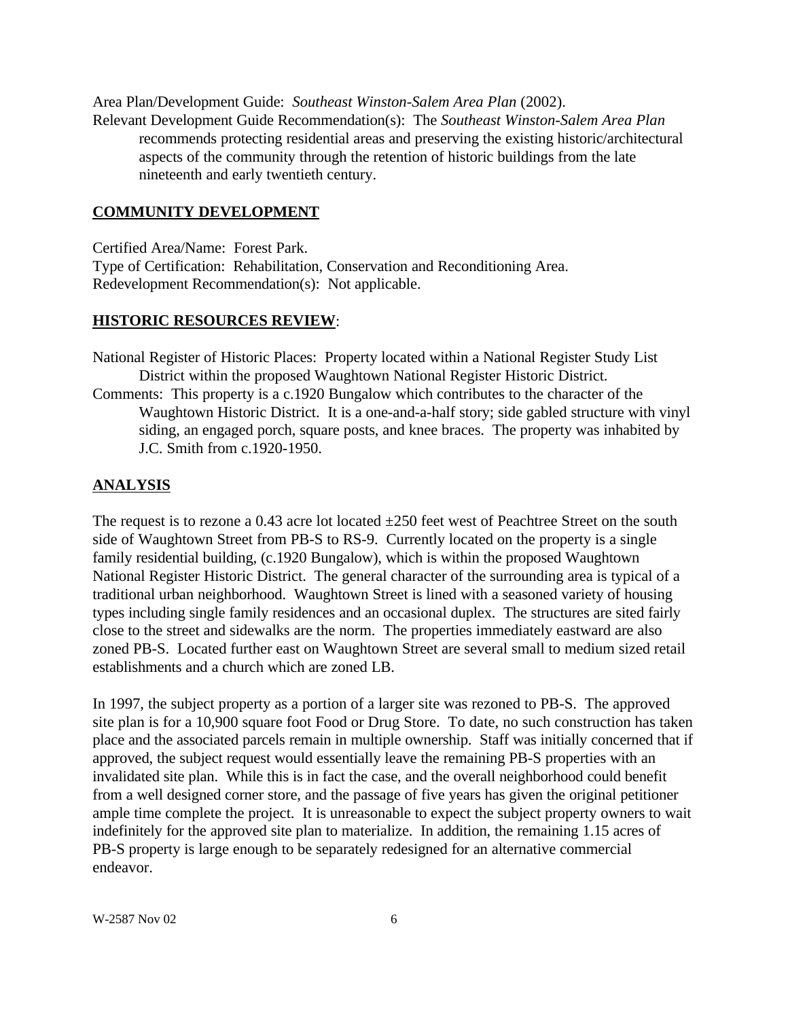Area Plan/Development Guide: *Southeast Winston-Salem Area Plan* (2002).

Relevant Development Guide Recommendation(s): The *Southeast Winston-Salem Area Plan* recommends protecting residential areas and preserving the existing historic/architectural aspects of the community through the retention of historic buildings from the late nineteenth and early twentieth century.

# **COMMUNITY DEVELOPMENT**

Certified Area/Name: Forest Park. Type of Certification: Rehabilitation, Conservation and Reconditioning Area. Redevelopment Recommendation(s): Not applicable.

## **HISTORIC RESOURCES REVIEW**:

National Register of Historic Places: Property located within a National Register Study List District within the proposed Waughtown National Register Historic District.

Comments: This property is a c.1920 Bungalow which contributes to the character of the Waughtown Historic District. It is a one-and-a-half story; side gabled structure with vinyl siding, an engaged porch, square posts, and knee braces. The property was inhabited by J.C. Smith from c.1920-1950.

# **ANALYSIS**

The request is to rezone a 0.43 acre lot located  $\pm 250$  feet west of Peachtree Street on the south side of Waughtown Street from PB-S to RS-9. Currently located on the property is a single family residential building, (c.1920 Bungalow), which is within the proposed Waughtown National Register Historic District. The general character of the surrounding area is typical of a traditional urban neighborhood. Waughtown Street is lined with a seasoned variety of housing types including single family residences and an occasional duplex. The structures are sited fairly close to the street and sidewalks are the norm. The properties immediately eastward are also zoned PB-S. Located further east on Waughtown Street are several small to medium sized retail establishments and a church which are zoned LB.

In 1997, the subject property as a portion of a larger site was rezoned to PB-S. The approved site plan is for a 10,900 square foot Food or Drug Store. To date, no such construction has taken place and the associated parcels remain in multiple ownership. Staff was initially concerned that if approved, the subject request would essentially leave the remaining PB-S properties with an invalidated site plan. While this is in fact the case, and the overall neighborhood could benefit from a well designed corner store, and the passage of five years has given the original petitioner ample time complete the project. It is unreasonable to expect the subject property owners to wait indefinitely for the approved site plan to materialize. In addition, the remaining 1.15 acres of PB-S property is large enough to be separately redesigned for an alternative commercial endeavor.